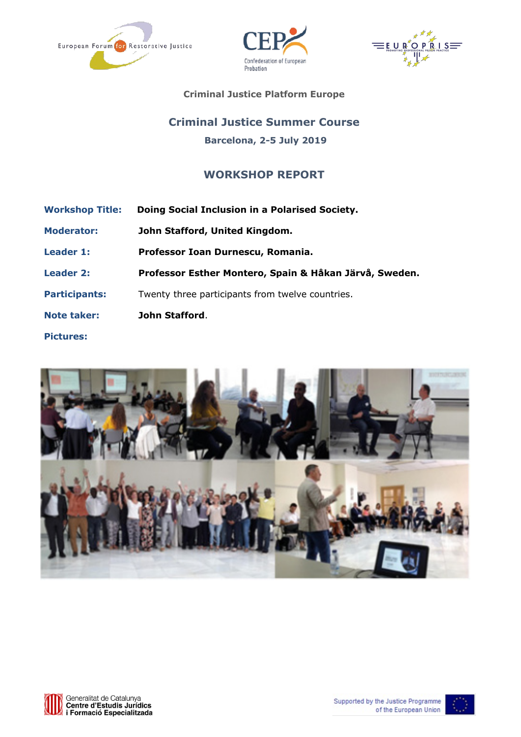





**Criminal Justice Platform Europe**

# **Criminal Justice Summer Course Barcelona, 2-5 July 2019**

# **WORKSHOP REPORT**

**Workshop Title: Doing Social Inclusion in a Polarised Society. Moderator: John Stafford, United Kingdom. Leader 1: Professor Ioan Durnescu, Romania. Leader 2: Professor Esther Montero, Spain & Håkan Järvå, Sweden. Participants:** Twenty three participants from twelve countries. **Note taker: John Stafford**. **Pictures:** 





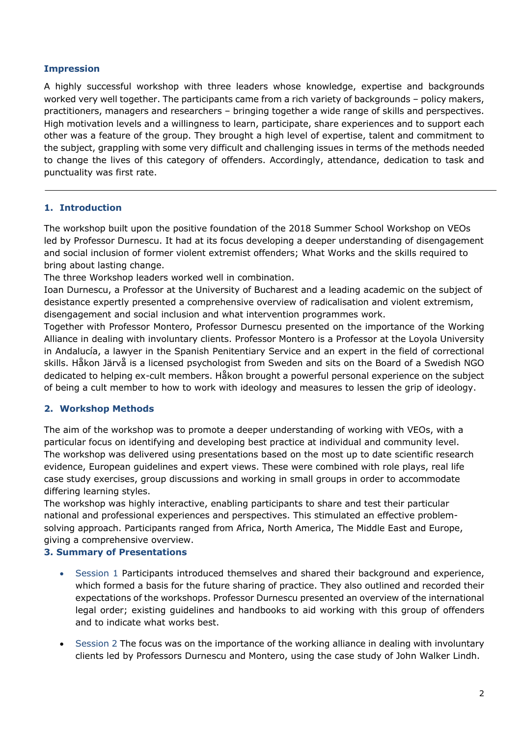#### **Impression**

A highly successful workshop with three leaders whose knowledge, expertise and backgrounds worked very well together. The participants came from a rich variety of backgrounds – policy makers, practitioners, managers and researchers – bringing together a wide range of skills and perspectives. High motivation levels and a willingness to learn, participate, share experiences and to support each other was a feature of the group. They brought a high level of expertise, talent and commitment to the subject, grappling with some very difficult and challenging issues in terms of the methods needed to change the lives of this category of offenders. Accordingly, attendance, dedication to task and punctuality was first rate.

#### **1. Introduction**

The workshop built upon the positive foundation of the 2018 Summer School Workshop on VEOs led by Professor Durnescu. It had at its focus developing a deeper understanding of disengagement and social inclusion of former violent extremist offenders; What Works and the skills required to bring about lasting change.

The three Workshop leaders worked well in combination.

Ioan Durnescu, a Professor at the University of Bucharest and a leading academic on the subject of desistance expertly presented a comprehensive overview of radicalisation and violent extremism, disengagement and social inclusion and what intervention programmes work.

Together with Professor Montero, Professor Durnescu presented on the importance of the Working Alliance in dealing with involuntary clients. Professor Montero is a Professor at the Loyola University in Andalucía, a lawyer in the Spanish Penitentiary Service and an expert in the field of correctional skills. Håkon Järvå is a licensed psychologist from Sweden and sits on the Board of a Swedish NGO dedicated to helping ex-cult members. Håkon brought a powerful personal experience on the subject of being a cult member to how to work with ideology and measures to lessen the grip of ideology.

#### **2. Workshop Methods**

The aim of the workshop was to promote a deeper understanding of working with VEOs, with a particular focus on identifying and developing best practice at individual and community level. The workshop was delivered using presentations based on the most up to date scientific research evidence, European guidelines and expert views. These were combined with role plays, real life case study exercises, group discussions and working in small groups in order to accommodate differing learning styles.

The workshop was highly interactive, enabling participants to share and test their particular national and professional experiences and perspectives. This stimulated an effective problemsolving approach. Participants ranged from Africa, North America, The Middle East and Europe, giving a comprehensive overview.

#### **3. Summary of Presentations**

- Session 1 Participants introduced themselves and shared their background and experience, which formed a basis for the future sharing of practice. They also outlined and recorded their expectations of the workshops. Professor Durnescu presented an overview of the international legal order; existing guidelines and handbooks to aid working with this group of offenders and to indicate what works best.
- Session 2 The focus was on the importance of the working alliance in dealing with involuntary clients led by Professors Durnescu and Montero, using the case study of John Walker Lindh.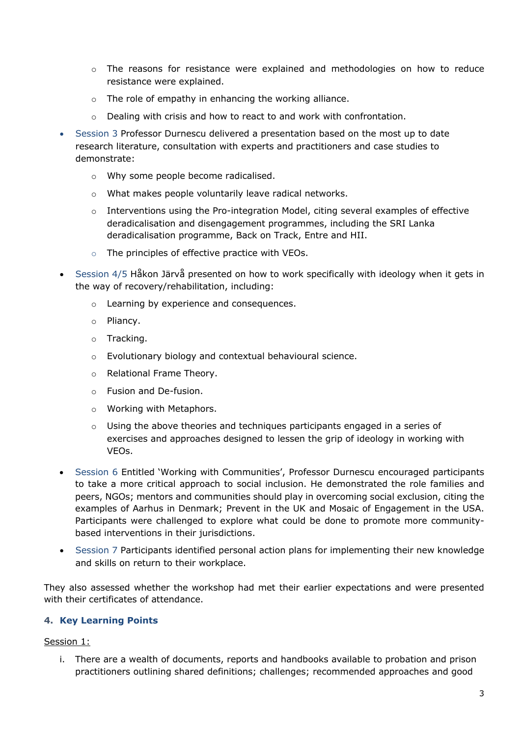- $\circ$  The reasons for resistance were explained and methodologies on how to reduce resistance were explained.
- o The role of empathy in enhancing the working alliance.
- $\circ$  Dealing with crisis and how to react to and work with confrontation.
- Session 3 Professor Durnescu delivered a presentation based on the most up to date research literature, consultation with experts and practitioners and case studies to demonstrate:
	- o Why some people become radicalised.
	- o What makes people voluntarily leave radical networks.
	- $\circ$  Interventions using the Pro-integration Model, citing several examples of effective deradicalisation and disengagement programmes, including the SRI Lanka deradicalisation programme, Back on Track, Entre and HII.
	- o The principles of effective practice with VEOs.
- Session 4/5 Håkon Järvå presented on how to work specifically with ideology when it gets in the way of recovery/rehabilitation, including:
	- o Learning by experience and consequences.
	- o Pliancy.
	- o Tracking.
	- o Evolutionary biology and contextual behavioural science.
	- o Relational Frame Theory.
	- o Fusion and De-fusion.
	- o Working with Metaphors.
	- o Using the above theories and techniques participants engaged in a series of exercises and approaches designed to lessen the grip of ideology in working with VEOs.
- Session 6 Entitled 'Working with Communities', Professor Durnescu encouraged participants to take a more critical approach to social inclusion. He demonstrated the role families and peers, NGOs; mentors and communities should play in overcoming social exclusion, citing the examples of Aarhus in Denmark; Prevent in the UK and Mosaic of Engagement in the USA. Participants were challenged to explore what could be done to promote more communitybased interventions in their jurisdictions.
- Session 7 Participants identified personal action plans for implementing their new knowledge and skills on return to their workplace.

They also assessed whether the workshop had met their earlier expectations and were presented with their certificates of attendance.

# **4. Key Learning Points**

#### Session 1:

i. There are a wealth of documents, reports and handbooks available to probation and prison practitioners outlining shared definitions; challenges; recommended approaches and good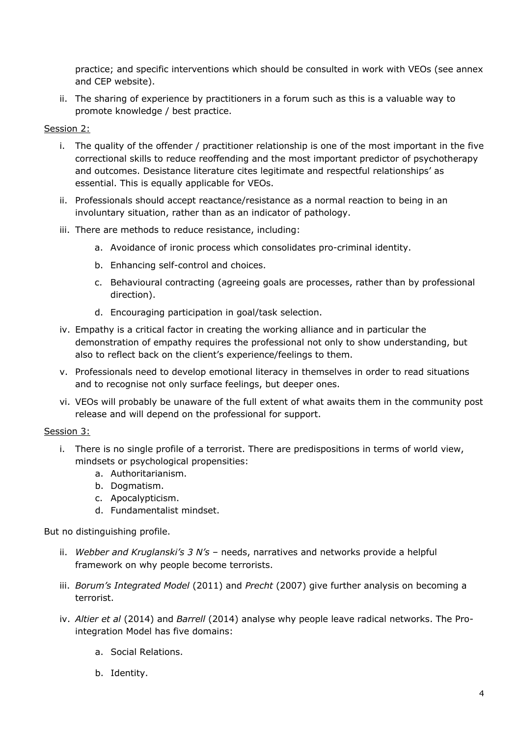practice; and specific interventions which should be consulted in work with VEOs (see annex and CEP website).

ii. The sharing of experience by practitioners in a forum such as this is a valuable way to promote knowledge / best practice.

#### Session 2:

- i. The quality of the offender / practitioner relationship is one of the most important in the five correctional skills to reduce reoffending and the most important predictor of psychotherapy and outcomes. Desistance literature cites legitimate and respectful relationships' as essential. This is equally applicable for VEOs.
- ii. Professionals should accept reactance/resistance as a normal reaction to being in an involuntary situation, rather than as an indicator of pathology.
- iii. There are methods to reduce resistance, including:
	- a. Avoidance of ironic process which consolidates pro-criminal identity.
	- b. Enhancing self-control and choices.
	- c. Behavioural contracting (agreeing goals are processes, rather than by professional direction).
	- d. Encouraging participation in goal/task selection.
- iv. Empathy is a critical factor in creating the working alliance and in particular the demonstration of empathy requires the professional not only to show understanding, but also to reflect back on the client's experience/feelings to them.
- v. Professionals need to develop emotional literacy in themselves in order to read situations and to recognise not only surface feelings, but deeper ones.
- vi. VEOs will probably be unaware of the full extent of what awaits them in the community post release and will depend on the professional for support.

#### Session 3:

- i. There is no single profile of a terrorist. There are predispositions in terms of world view, mindsets or psychological propensities:
	- a. Authoritarianism.
	- b. Dogmatism.
	- c. Apocalypticism.
	- d. Fundamentalist mindset.

But no distinguishing profile.

- ii. *Webber and Kruglanski's 3 N's* needs, narratives and networks provide a helpful framework on why people become terrorists.
- iii. *Borum's Integrated Model* (2011) and *Precht* (2007) give further analysis on becoming a terrorist.
- iv. *Altier et al* (2014) and *Barrell* (2014) analyse why people leave radical networks. The Prointegration Model has five domains:
	- a. Social Relations.
	- b. Identity.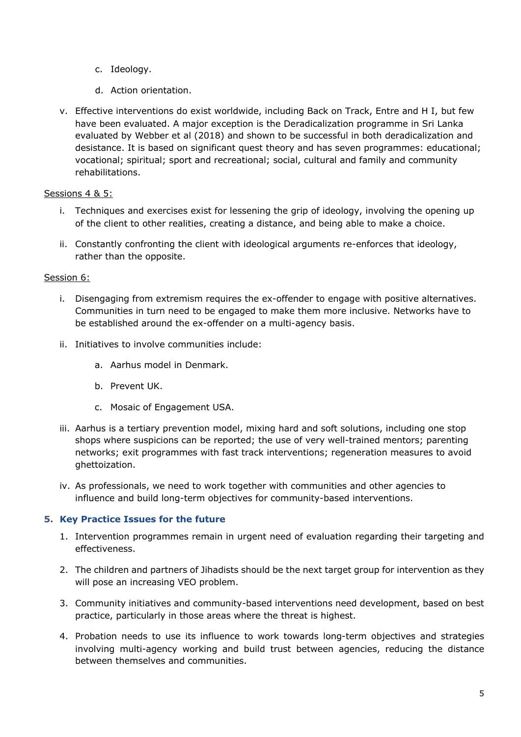- c. Ideology.
- d. Action orientation.
- v. Effective interventions do exist worldwide, including Back on Track, Entre and H I, but few have been evaluated. A major exception is the Deradicalization programme in Sri Lanka evaluated by Webber et al (2018) and shown to be successful in both deradicalization and desistance. It is based on significant quest theory and has seven programmes: educational; vocational; spiritual; sport and recreational; social, cultural and family and community rehabilitations.

# Sessions 4 & 5:

- i. Techniques and exercises exist for lessening the grip of ideology, involving the opening up of the client to other realities, creating a distance, and being able to make a choice.
- ii. Constantly confronting the client with ideological arguments re-enforces that ideology, rather than the opposite.

#### Session 6:

- i. Disengaging from extremism requires the ex-offender to engage with positive alternatives. Communities in turn need to be engaged to make them more inclusive. Networks have to be established around the ex-offender on a multi-agency basis.
- ii. Initiatives to involve communities include:
	- a. Aarhus model in Denmark.
	- b. Prevent UK.
	- c. Mosaic of Engagement USA.
- iii. Aarhus is a tertiary prevention model, mixing hard and soft solutions, including one stop shops where suspicions can be reported; the use of very well-trained mentors; parenting networks; exit programmes with fast track interventions; regeneration measures to avoid ghettoization.
- iv. As professionals, we need to work together with communities and other agencies to influence and build long-term objectives for community-based interventions.

# **5. Key Practice Issues for the future**

- 1. Intervention programmes remain in urgent need of evaluation regarding their targeting and effectiveness.
- 2. The children and partners of Jihadists should be the next target group for intervention as they will pose an increasing VEO problem.
- 3. Community initiatives and community-based interventions need development, based on best practice, particularly in those areas where the threat is highest.
- 4. Probation needs to use its influence to work towards long-term objectives and strategies involving multi-agency working and build trust between agencies, reducing the distance between themselves and communities.